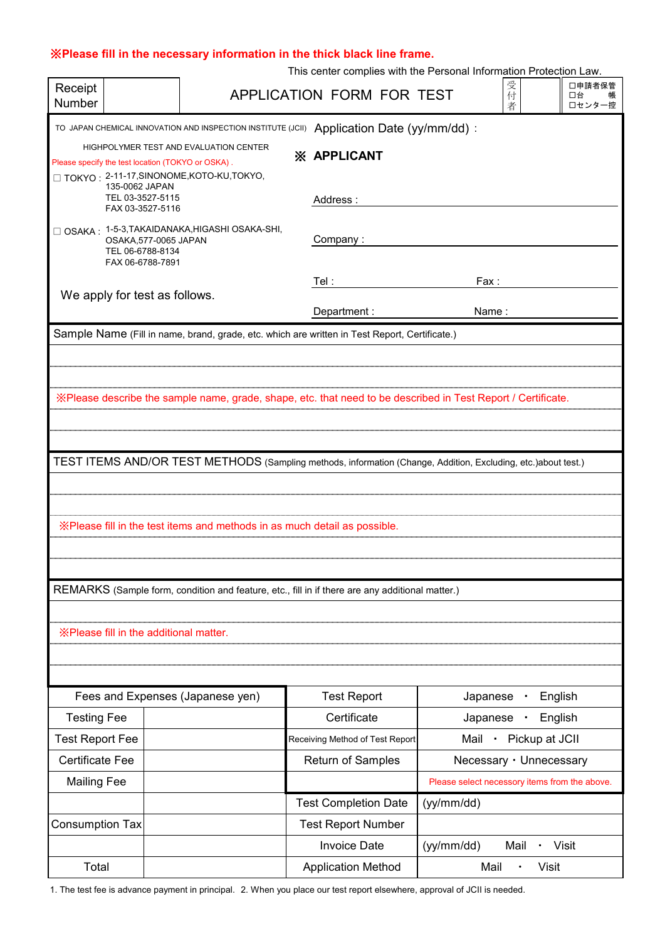## ※**Please fill in the necessary information in the thick black line frame.**

| This center complies with the Personal Information Protection Law. |  |  |  |  |  |  |  |  |  |
|--------------------------------------------------------------------|--|--|--|--|--|--|--|--|--|
|--------------------------------------------------------------------|--|--|--|--|--|--|--|--|--|

| Receipt<br>Number                                                                                                                                                 |                                                              | 受付<br>口申請者保管<br>APPLICATION FORM FOR TEST<br>口台<br>者<br>□センター控 |                                                                                                 |                                                                                                               |  |  |  |  |
|-------------------------------------------------------------------------------------------------------------------------------------------------------------------|--------------------------------------------------------------|----------------------------------------------------------------|-------------------------------------------------------------------------------------------------|---------------------------------------------------------------------------------------------------------------|--|--|--|--|
| TO JAPAN CHEMICAL INNOVATION AND INSPECTION INSTITUTE (JCII)<br>Application Date (yy/mm/dd):                                                                      |                                                              |                                                                |                                                                                                 |                                                                                                               |  |  |  |  |
| HIGHPOLYMER TEST AND EVALUATION CENTER<br><b>XX APPLICANT</b><br>Please specify the test location (TOKYO or OSKA).<br>□ TOKYO: 2-11-17, SINONOME, KOTO-KU, TOKYO, |                                                              |                                                                |                                                                                                 |                                                                                                               |  |  |  |  |
|                                                                                                                                                                   | 135-0062 JAPAN<br>TEL 03-3527-5115                           |                                                                | Address:                                                                                        |                                                                                                               |  |  |  |  |
| FAX 03-3527-5116                                                                                                                                                  |                                                              |                                                                |                                                                                                 |                                                                                                               |  |  |  |  |
|                                                                                                                                                                   | OSAKA,577-0065 JAPAN<br>TEL 06-6788-8134<br>FAX 06-6788-7891 | □ OSAKA: 1-5-3, TAKAIDANAKA, HIGASHI OSAKA-SHI,                | Company:                                                                                        |                                                                                                               |  |  |  |  |
|                                                                                                                                                                   |                                                              |                                                                | Tel :                                                                                           | Fax :                                                                                                         |  |  |  |  |
| We apply for test as follows.                                                                                                                                     |                                                              |                                                                | Department :                                                                                    | Name:                                                                                                         |  |  |  |  |
|                                                                                                                                                                   |                                                              |                                                                | Sample Name (Fill in name, brand, grade, etc. which are written in Test Report, Certificate.)   |                                                                                                               |  |  |  |  |
|                                                                                                                                                                   |                                                              |                                                                |                                                                                                 |                                                                                                               |  |  |  |  |
|                                                                                                                                                                   |                                                              |                                                                |                                                                                                 |                                                                                                               |  |  |  |  |
|                                                                                                                                                                   |                                                              |                                                                |                                                                                                 | X Please describe the sample name, grade, shape, etc. that need to be described in Test Report / Certificate. |  |  |  |  |
|                                                                                                                                                                   |                                                              |                                                                |                                                                                                 |                                                                                                               |  |  |  |  |
|                                                                                                                                                                   |                                                              |                                                                |                                                                                                 |                                                                                                               |  |  |  |  |
|                                                                                                                                                                   |                                                              |                                                                |                                                                                                 | TEST ITEMS AND/OR TEST METHODS (Sampling methods, information (Change, Addition, Excluding, etc.)about test.) |  |  |  |  |
|                                                                                                                                                                   |                                                              |                                                                |                                                                                                 |                                                                                                               |  |  |  |  |
|                                                                                                                                                                   |                                                              |                                                                |                                                                                                 |                                                                                                               |  |  |  |  |
|                                                                                                                                                                   |                                                              |                                                                | $\%$ Please fill in the test items and methods in as much detail as possible.                   |                                                                                                               |  |  |  |  |
|                                                                                                                                                                   |                                                              |                                                                |                                                                                                 |                                                                                                               |  |  |  |  |
|                                                                                                                                                                   |                                                              |                                                                |                                                                                                 |                                                                                                               |  |  |  |  |
|                                                                                                                                                                   |                                                              |                                                                | REMARKS (Sample form, condition and feature, etc., fill in if there are any additional matter.) |                                                                                                               |  |  |  |  |
|                                                                                                                                                                   |                                                              |                                                                |                                                                                                 |                                                                                                               |  |  |  |  |
|                                                                                                                                                                   |                                                              |                                                                |                                                                                                 |                                                                                                               |  |  |  |  |
|                                                                                                                                                                   | X Please fill in the additional matter.                      |                                                                |                                                                                                 |                                                                                                               |  |  |  |  |
|                                                                                                                                                                   |                                                              |                                                                |                                                                                                 |                                                                                                               |  |  |  |  |
|                                                                                                                                                                   |                                                              |                                                                | <b>Test Report</b>                                                                              | English<br>Japanese                                                                                           |  |  |  |  |
| Fees and Expenses (Japanese yen)                                                                                                                                  |                                                              | Certificate                                                    |                                                                                                 |                                                                                                               |  |  |  |  |
|                                                                                                                                                                   | <b>Testing Fee</b>                                           |                                                                | Receiving Method of Test Report                                                                 | Japanese<br>English<br>٠<br>• Pickup at JCII<br>Mail                                                          |  |  |  |  |
|                                                                                                                                                                   | <b>Test Report Fee</b>                                       |                                                                |                                                                                                 |                                                                                                               |  |  |  |  |
|                                                                                                                                                                   | <b>Certificate Fee</b>                                       |                                                                | <b>Return of Samples</b>                                                                        | Necessary · Unnecessary                                                                                       |  |  |  |  |
| <b>Mailing Fee</b>                                                                                                                                                |                                                              |                                                                |                                                                                                 | Please select necessory items from the above.                                                                 |  |  |  |  |
|                                                                                                                                                                   |                                                              |                                                                | <b>Test Completion Date</b>                                                                     | (yy/mm/dd)                                                                                                    |  |  |  |  |
| <b>Consumption Tax</b>                                                                                                                                            |                                                              |                                                                | <b>Test Report Number</b>                                                                       |                                                                                                               |  |  |  |  |
|                                                                                                                                                                   |                                                              |                                                                | <b>Invoice Date</b>                                                                             | (yy/mm/dd)<br>· Visit<br>Mail                                                                                 |  |  |  |  |
| Total                                                                                                                                                             |                                                              |                                                                | <b>Application Method</b>                                                                       | <b>Visit</b><br>Mail                                                                                          |  |  |  |  |

1. The test fee is advance payment in principal. 2. When you place our test report elsewhere, approval of JCII is needed.